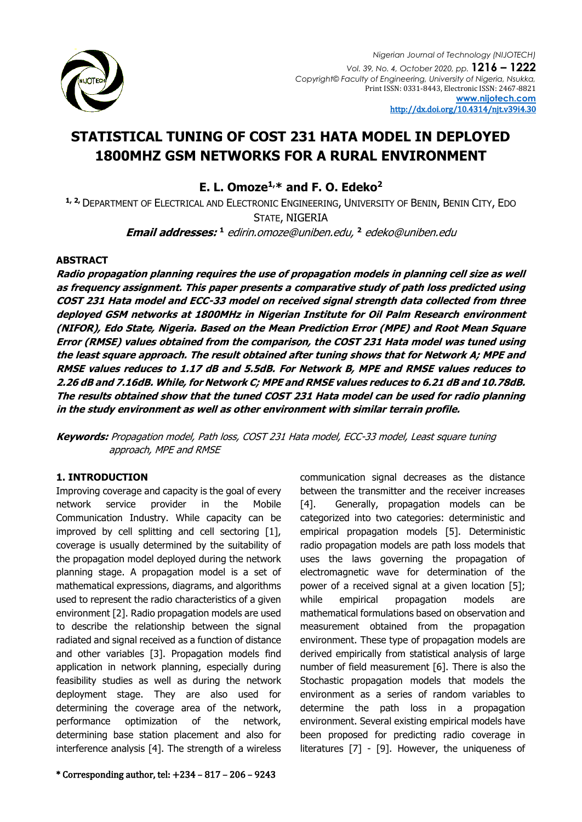

# **STATISTICAL TUNING OF COST 231 HATA MODEL IN DEPLOYED 1800MHZ GSM NETWORKS FOR A RURAL ENVIRONMENT**

**E. L. Omoze1,\* and F. O. Edeko<sup>2</sup>**

**1, 2,** DEPARTMENT OF ELECTRICAL AND ELECTRONIC ENGINEERING, UNIVERSITY OF BENIN, BENIN CITY, EDO STATE, NIGERIA

**Email addresses: <sup>1</sup>** edirin.omoze@uniben.edu, **<sup>2</sup>** edeko@uniben.edu

# **ABSTRACT**

**Radio propagation planning requires the use of propagation models in planning cell size as well as frequency assignment. This paper presents a comparative study of path loss predicted using COST 231 Hata model and ECC-33 model on received signal strength data collected from three deployed GSM networks at 1800MHz in Nigerian Institute for Oil Palm Research environment (NIFOR), Edo State, Nigeria. Based on the Mean Prediction Error (MPE) and Root Mean Square Error (RMSE) values obtained from the comparison, the COST 231 Hata model was tuned using the least square approach. The result obtained after tuning shows that for Network A; MPE and RMSE values reduces to 1.17 dB and 5.5dB. For Network B, MPE and RMSE values reduces to 2.26 dB and 7.16dB. While, for Network C; MPE and RMSE values reduces to 6.21 dB and 10.78dB. The results obtained show that the tuned COST 231 Hata model can be used for radio planning in the study environment as well as other environment with similar terrain profile.**

**Keywords:** Propagation model, Path loss, COST 231 Hata model, ECC-33 model, Least square tuning approach, MPE and RMSE

# **1. INTRODUCTION**

Improving coverage and capacity is the goal of every network service provider in the Mobile Communication Industry. While capacity can be improved by cell splitting and cell sectoring [1], coverage is usually determined by the suitability of the propagation model deployed during the network planning stage. A propagation model is a set of mathematical expressions, diagrams, and algorithms used to represent the radio characteristics of a given environment [2]. Radio propagation models are used to describe the relationship between the signal radiated and signal received as a function of distance and other variables [3]. Propagation models find application in network planning, especially during feasibility studies as well as during the network deployment stage. They are also used for determining the coverage area of the network, performance optimization of the network, determining base station placement and also for interference analysis [4]. The strength of a wireless

communication signal decreases as the distance between the transmitter and the receiver increases [4]. Generally, propagation models can be categorized into two categories: deterministic and empirical propagation models [5]. Deterministic radio propagation models are path loss models that uses the laws governing the propagation of electromagnetic wave for determination of the power of a received signal at a given location [5]; while empirical propagation models are mathematical formulations based on observation and measurement obtained from the propagation environment. These type of propagation models are derived empirically from statistical analysis of large number of field measurement [6]. There is also the Stochastic propagation models that models the environment as a series of random variables to determine the path loss in a propagation environment. Several existing empirical models have been proposed for predicting radio coverage in literatures [7] - [9]. However, the uniqueness of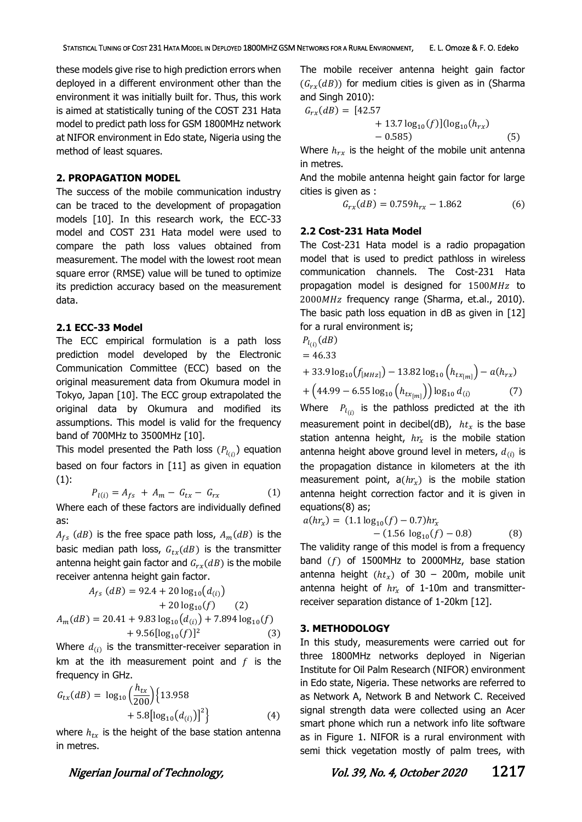these models give rise to high prediction errors when deployed in a different environment other than the environment it was initially built for. Thus, this work is aimed at statistically tuning of the COST 231 Hata model to predict path loss for GSM 1800MHz network at NIFOR environment in Edo state, Nigeria using the method of least squares.

#### **2. PROPAGATION MODEL**

The success of the mobile communication industry can be traced to the development of propagation models [10]. In this research work, the ECC-33 model and COST 231 Hata model were used to compare the path loss values obtained from measurement. The model with the lowest root mean square error (RMSE) value will be tuned to optimize its prediction accuracy based on the measurement data.

### **2.1 ECC-33 Model**

The ECC empirical formulation is a path loss prediction model developed by the Electronic Communication Committee (ECC) based on the original measurement data from Okumura model in Tokyo, Japan [10]. The ECC group extrapolated the original data by Okumura and modified its assumptions. This model is valid for the frequency band of 700MHz to 3500MHz [10].

This model presented the Path loss  $(P_{l_{(i)}})$  equation based on four factors in [11] as given in equation  $(1)$ :

$$
P_{l(i)} = A_{fs} + A_m - G_{tx} - G_{rx}
$$
 (1)

Where each of these factors are individually defined as:

 $A_{fs}$  (dB) is the free space path loss,  $A_m(dB)$  is the basic median path loss,  $G_{tx}(dB)$  is the transmitter antenna height gain factor and  $G_{rx}(dB)$  is the mobile receiver antenna height gain factor.

$$
A_{fs} (dB) = 92.4 + 20 \log_{10} (d_{(i)})
$$
  
+ 20 \log\_{10} (f) (2)  

$$
A_m (dB) = 20.41 + 9.83 \log_{10} (d_{(i)}) + 7.894 \log_{10} (f)
$$
  
+ 9.56[log<sub>10</sub>(f)]<sup>2</sup> (3)

Where  $d_{(i)}$  is the transmitter-receiver separation in km at the ith measurement point and  $f$  is the frequency in GHz.

$$
G_{tx}(dB) = \log_{10}\left(\frac{h_{tx}}{200}\right) \{13.958 + 5.8[\log_{10}(d_{(i)})]^2\}
$$
 (4)

where  $h_{tx}$  is the height of the base station antenna in metres.

The mobile receiver antenna height gain factor  $(G_{rr}(dB))$  for medium cities is given as in (Sharma and Singh 2010):

$$
G_{rx}(dB) = [42.57 + 13.7 \log_{10}(f)](\log_{10}(h_{rx}) - 0.585)
$$
 (5)

Where  $h_{rx}$  is the height of the mobile unit antenna in metres.

And the mobile antenna height gain factor for large cities is given as :

$$
G_{rx}(dB) = 0.759h_{rx} - 1.862\tag{6}
$$

## **2.2 Cost-231 Hata Model**

The Cost-231 Hata model is a radio propagation model that is used to predict pathloss in wireless communication channels. The Cost-231 Hata propagation model is designed for  $1500MHz$  to 2000 MHz frequency range (Sharma, et.al., 2010). The basic path loss equation in dB as given in  $[12]$ for a rural environment is;

 $P_{l_{(i)}}(dB)$  $= 46.33$ 

+ 33.9 log<sub>10</sub>(
$$
f_{[MHz]}\
$$
) - 13.82 log<sub>10</sub> ( $h_{tx_{[m]}}\$ ) -  $a(h_{rx})$ 

$$
+\left(44.99 - 6.55\log_{10}\left(h_{tx_{[m]}}\right)\right)\log_{10}d_{(i)}\tag{7}
$$

Where  $P_{l_{(i)}}$  is the pathloss predicted at the ith measurement point in decibel(dB),  $ht<sub>x</sub>$  is the base station antenna height,  $hr_x$  is the mobile station antenna height above ground level in meters,  $d_{(i)}$  is the propagation distance in kilometers at the ith measurement point,  $a(hr_x)$  is the mobile station antenna height correction factor and it is given in equations(8) as;

$$
a(hr_x) = (1.1 \log_{10}(f) - 0.7)hr_x
$$
  
-(1.56 \log\_{10}(f) - 0.8) (8)

The validity range of this model is from a frequency band  $(f)$  of 1500MHz to 2000MHz, base station antenna height  $(ht<sub>x</sub>)$  of 30 – 200m, mobile unit antenna height of  $hr_x$  of 1-10m and transmitterreceiver separation distance of 1-20km [12].

#### **3. METHODOLOGY**

In this study, measurements were carried out for three 1800MHz networks deployed in Nigerian Institute for Oil Palm Research (NIFOR) environment in Edo state, Nigeria. These networks are referred to as Network A, Network B and Network C. Received signal strength data were collected using an Acer smart phone which run a network info lite software as in Figure 1. NIFOR is a rural environment with semi thick vegetation mostly of palm trees, with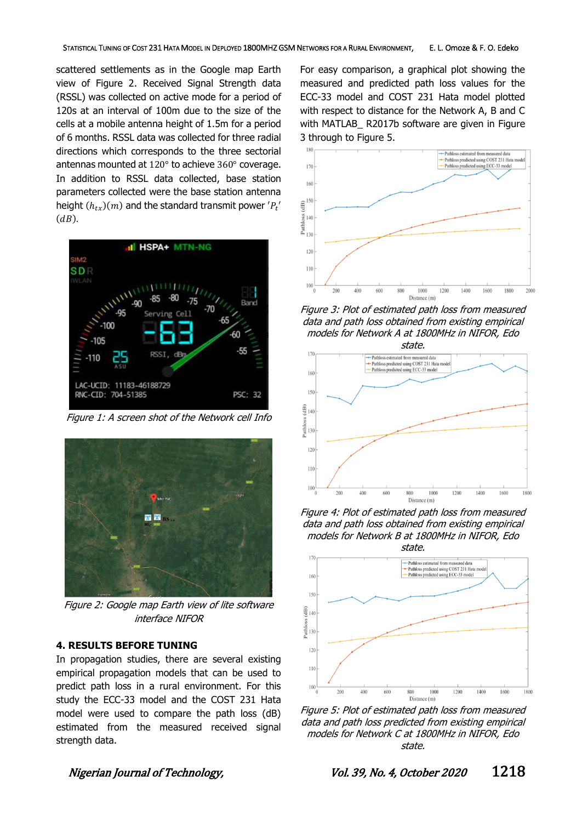scattered settlements as in the Google map Earth view of Figure 2. Received Signal Strength data (RSSL) was collected on active mode for a period of 120s at an interval of 100m due to the size of the cells at a mobile antenna height of 1.5m for a period of 6 months. RSSL data was collected for three radial directions which corresponds to the three sectorial antennas mounted at 120° to achieve 360° coverage. In addition to RSSL data collected, base station parameters collected were the base station antenna height  $(h_{tx})(m)$  and the standard transmit power  ${'}{P_t}^{\prime}$  $\left($ dB).



Figure 1: A screen shot of the Network cell Info



Figure 2: Google map Earth view of lite software interface NIFOR

## **4. RESULTS BEFORE TUNING**

In propagation studies, there are several existing empirical propagation models that can be used to predict path loss in a rural environment. For this study the ECC-33 model and the COST 231 Hata model were used to compare the path loss (dB) estimated from the measured received signal strength data.

For easy comparison, a graphical plot showing the measured and predicted path loss values for the ECC-33 model and COST 231 Hata model plotted with respect to distance for the Network A, B and C with MATLAB R2017b software are given in Figure 3 through to Figure 5.



Figure 3: Plot of estimated path loss from measured data and path loss obtained from existing empirical models for Network A at 1800MHz in NIFOR, Edo



Figure 4: Plot of estimated path loss from measured data and path loss obtained from existing empirical models for Network B at 1800MHz in NIFOR, Edo



Figure 5: Plot of estimated path loss from measured data and path loss predicted from existing empirical models for Network C at 1800MHz in NIFOR, Edo state.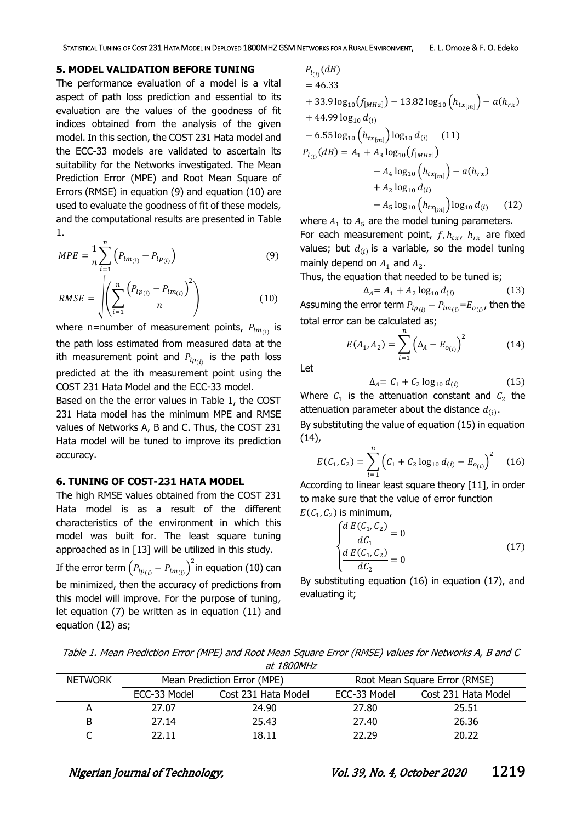#### **5. MODEL VALIDATION BEFORE TUNING**

The performance evaluation of a model is a vital aspect of path loss prediction and essential to its evaluation are the values of the goodness of fit indices obtained from the analysis of the given model. In this section, the COST 231 Hata model and the ECC-33 models are validated to ascertain its suitability for the Networks investigated. The Mean Prediction Error (MPE) and Root Mean Square of Errors (RMSE) in equation (9) and equation (10) are used to evaluate the goodness of fit of these models, and the computational results are presented in Table 1.

$$
MPE = \frac{1}{n} \sum_{i=1}^{n} \left( P_{lm_{(i)}} - P_{lp_{(i)}} \right)
$$
 (9)

$$
RMSE = \sqrt{\left(\sum_{i=1}^{n} \frac{\left(P_{lp_{(i)}} - P_{lm_{(i)}}\right)^{2}}{n}\right)}
$$
(10)

where n=number of measurement points,  $P_{lm_{(i)}}$  is the path loss estimated from measured data at the ith measurement point and  $P_{lp(i)}$  is the path loss predicted at the ith measurement point using the COST 231 Hata Model and the ECC-33 model.

Based on the the error values in Table 1, the COST 231 Hata model has the minimum MPE and RMSE values of Networks A, B and C. Thus, the COST 231 Hata model will be tuned to improve its prediction accuracy.

#### **6. TUNING OF COST-231 HATA MODEL**

The high RMSE values obtained from the COST 231 Hata model is as a result of the different characteristics of the environment in which this model was built for. The least square tuning approached as in [13] will be utilized in this study.

If the error term  $\left( P_{lp_{(l)}} - P_{lm_{(l)}} \right)^2$ in equation (10) can be minimized, then the accuracy of predictions from this model will improve. For the purpose of tuning, let equation (7) be written as in equation (11) and equation (12) as;

$$
P_{l_{(i)}}(dB)
$$
  
= 46.33  
+ 33.9 log<sub>10</sub>(f<sub>[MHz]</sub>) - 13.82 log<sub>10</sub> (h<sub>tx[m]</sub>) - a(h<sub>rx</sub>)  
+ 44.99 log<sub>10</sub> d<sub>(i)</sub>  
- 6.55 log<sub>10</sub> (h<sub>tx[m]</sub>) log<sub>10</sub> d<sub>(i)</sub> (11)  

$$
P_{l_{(i)}}(dB) = A_1 + A_3 log10(f[MHz])
$$

$$
- A_4 log10 (htx[m]) - a(hrx)+ A_2 log10 d(i)
$$
- A_5 log10 (htx[m]) log10 d(i) (12)
$$
$$

where  $A_1$  to  $A_5$  are the model tuning parameters. For each measurement point,  $f, h_{tx}$ ,  $h_{rx}$  are fixed values; but  $d_{(i)}$  is a variable, so the model tuning mainly depend on  $A_1$  and  $A_2$ .

Thus, the equation that needed to be tuned is;

 $\Delta_A = A_1 + A_2 \log_{10} d_{(i)}$  (13) Assuming the error term  $P_{lp_{(i)}} - P_{lm_{(i)}}$ = $E_{o_{(i)}}$ , then the total error can be calculated as;

$$
E(A_1, A_2) = \sum_{i=1}^{n} (\Delta_A - E_{o_{(i)}})^2
$$
 (14)

Let

$$
\Delta_A = C_1 + C_2 \log_{10} d_{(i)} \tag{15}
$$

Where  $C_1$  is the attenuation constant and  $C_2$  the attenuation parameter about the distance  $d_{(i)}$ .

By substituting the value of equation (15) in equation (14),

$$
E(C_1, C_2) = \sum_{i=1}^{n} (C_1 + C_2 \log_{10} d_{(i)} - E_{o_{(i)}})^2
$$
 (16)

According to linear least square theory [11], in order to make sure that the value of error function  $E(C_1, C_2)$  is minimum,

$$
\begin{cases}\n\frac{d E(C_1, C_2)}{d C_1} = 0\\ \n\frac{d E(C_1, C_2)}{d C_2} = 0\n\end{cases}
$$
\n(17)

By substituting equation (16) in equation (17), and evaluating it;

Table 1. Mean Prediction Error (MPE) and Root Mean Square Error (RMSE) values for Networks A, B and C at 1800MHz

| <b>NETWORK</b> | Mean Prediction Error (MPE) |                     | Root Mean Square Error (RMSE) |                     |
|----------------|-----------------------------|---------------------|-------------------------------|---------------------|
|                | ECC-33 Model                | Cost 231 Hata Model | ECC-33 Model                  | Cost 231 Hata Model |
|                | 27.07                       | 24.90               | 27.80                         | 25.51               |
|                | 27.14                       | 25.43               | 27.40                         | 26.36               |
|                | 22.11                       | 18.11               | 22.29                         | 20.22               |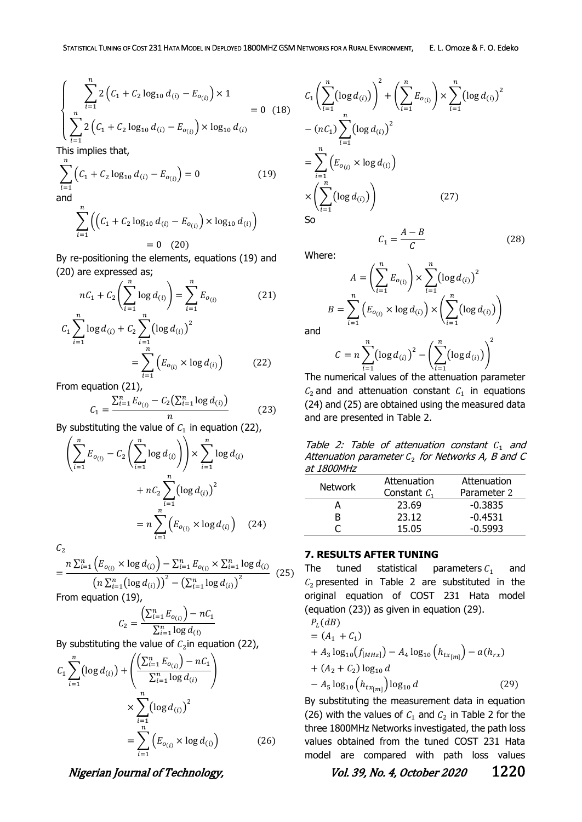(28)

$$
\begin{cases}\n\sum_{i=1}^{n} 2\left(C_1 + C_2 \log_{10} d_{(i)} - E_{o_{(i)}}\right) \times 1 \\
\sum_{i=1}^{n} 2\left(C_1 + C_2 \log_{10} d_{(i)} - E_{o_{(i)}}\right) \times \log_{10} d_{(i)} \\
\prod_{i=1}^{n} E_{o_{(i)}} & \text{if } i \neq j \text{ and } i \text{ is the } j \text{ is the } j \text{ is the } j \text{ is the } j \text{ is the } j \text{ is the } j \text{ is the } j \text{ is the } j \text{ is the } j \text{ is the } j \text{ is the } j \text{ is the } j \text{ is the } j \text{ is the } j \text{ is the } j \text{ is the } j \text{ is the } j \text{ is the } j \text{ is the } j \text{ is the } j \text{ is the } j \text{ is the } j \text{ is the } j \text{ is the } j \text{ is the } j \text{ is the } j \text{ is the } j \text{ is the } j \text{ is the } j \text{ is the } j \text{ is the } j \text{ is the } j \text{ is the } j \text{ is the } j \text{ is the } j \text{ is the } j \text{ is the } j \text{ is the } j \text{ is the } j \text{ is the } j \text{ is the } j \text{ is the } j \text{ is the } j \text{ is the } j \text{ is the } j \text{ is the } j \text{ is the } j \text{ is the } j \text{ is the } j \text{ is the } j \text{ is the } j \text{ is the } j \text{ is the } j \text{ is the } j \text{ is the } j \text{ is the } j \text{ is the } j \text{ is the } j \text{ is the } j \text{ is the } j \text{ is the } j \text{ is the } j \text{ is the } j \text{ is the } j \text{ is the } j \text{ is the } j \text{ is the } j \text{ is the } j \text{ is the } j \text{ is the } j \text{ is the } j \text{ is the } j \text{ is the } j \text{ is the } j \text{ is the } j \text{ is the } j \text{ is the } j \text{ is the } j \text{ is the } j \text{ is the } j \text{ is the } j \text{ is the } j \text{ is the } j \text{ is the } j \text{ is the } j \text{ is the } j \text{ is the } j \text{ is the }
$$

This implies that,  $\boldsymbol{n}$ 

$$
\sum_{i=1}^{n} \left( C_1 + C_2 \log_{10} d_{(i)} - E_{o_{(i)}} \right) = 0
$$
 (19)

$$
\sum_{i=1} \left( \left( C_1 + C_2 \log_{10} d_{(i)} - E_{o_{(i)}} \right) \times \log_{10} d_{(i)} \right)
$$
  
= 0 (20)

By re-positioning the elements, equations (19) and (20) are expressed as;

$$
nC_1 + C_2 \left(\sum_{i=1}^n \log d_{(i)}\right) = \sum_{i=1}^n E_{o_{(i)}}
$$
(21)  

$$
C_1 \sum_{i=1}^n \log d_{(i)} + C_2 \sum_{i=1}^n \left(\log d_{(i)}\right)^2
$$

$$
= \sum_{i=1}^{n} \left( E_{o_{(i)}} \times \log d_{(i)} \right) \tag{22}
$$

From equation (21),

$$
C_1 = \frac{\sum_{i=1}^{n} E_{o_{(i)}} - C_2(\sum_{i=1}^{n} \log d_{(i)})}{n}
$$
 (23)

By substituting the value of  $c_1$  in equation (22),

$$
\left(\sum_{i=1}^{n} E_{o_{(i)}} - C_2 \left(\sum_{i=1}^{n} \log d_{(i)}\right)\right) \times \sum_{i=1}^{n} \log d_{(i)}
$$

$$
+ nC_2 \sum_{i=1}^{n} \left(\log d_{(i)}\right)^2
$$

$$
= n \sum_{i=1}^{n} \left(E_{o_{(i)}} \times \log d_{(i)}\right) \quad (24)
$$

 $\mathcal{C}_2$ 

$$
= \frac{n \sum_{i=1}^{n} \left( E_{o_{(i)}} \times \log d_{(i)} \right) - \sum_{i=1}^{n} E_{o_{(i)}} \times \sum_{i=1}^{n} \log d_{(i)}}{\left( n \sum_{i=1}^{n} \left( \log d_{(i)} \right) \right)^2 - \left( \sum_{i=1}^{n} \log d_{(i)} \right)^2} (25)
$$

From equation (19),

$$
C_2 = \frac{\left(\sum_{i=1}^n E_{o_{(i)}}\right) - nC_1}{\sum_{i=1}^n \log d_{(i)}}
$$

By substituting the value of  $c_2$ in equation (22),

$$
C_{1} \sum_{i=1}^{n} (\log d_{(i)}) + \left( \frac{\left(\sum_{i=1}^{n} E_{o_{(i)}}\right) - nC_{1}}{\sum_{i=1}^{n} \log d_{(i)}} \right) \times \sum_{i=1}^{n} (\log d_{(i)})^{2}
$$

$$
= \sum_{i=1}^{n} \left( E_{o_{(i)}} \times \log d_{(i)} \right) \tag{26}
$$

$$
C_{1}\left(\sum_{i=1}^{n}(\log d_{(i)})\right)^{2} + \left(\sum_{i=1}^{n}E_{o_{(i)}}\right) \times \sum_{i=1}^{n}(\log d_{(i)})^{2}
$$
  
-  $(nC_{1})\sum_{i=1}^{n}(\log d_{(i)})^{2}$   
=  $\sum_{i=1}^{n}\left(E_{o_{(i)}} \times \log d_{(i)}\right)$   
 $\times \left(\sum_{i=1}^{n}(\log d_{(i)})\right)$  (27)  
So  
 $C_{1} = \frac{A-B}{C}$  (2)

Where:

$$
A = \left(\sum_{i=1}^{n} E_{o_{(i)}}\right) \times \sum_{i=1}^{n} \left(\log d_{(i)}\right)^2
$$

$$
B = \sum_{i=1}^{n} \left(E_{o_{(i)}} \times \log d_{(i)}\right) \times \left(\sum_{i=1}^{n} \left(\log d_{(i)}\right)\right)
$$

 $\mathcal C$ 

and

$$
C = n \sum_{i=1}^{n} (\log d_{(i)})^2 - \left( \sum_{i=1}^{n} (\log d_{(i)}) \right)
$$

The numerical values of the attenuation parameter  $C_2$  and and attenuation constant  $C_1$  in equations (24) and (25) are obtained using the measured data and are presented in Table 2.

Table 2: Table of attenuation constant  $C_1$  and Attenuation parameter  $\mathcal{C}_2$  for Networks A, B and C at 1800MHz

| <b>Network</b> | Attenuation    | Attenuation |
|----------------|----------------|-------------|
|                | Constant $C_1$ | Parameter 2 |
|                | 23.69          | $-0.3835$   |
| ĸ              | 23.12          | $-0.4531$   |
|                | 15.05          | $-0.5993$   |

## **7. RESULTS AFTER TUNING**

The tuned statistical parameters  $C_1$  and  $C_2$  presented in Table 2 are substituted in the original equation of COST 231 Hata model (equation (23)) as given in equation (29).

$$
P_{L}(dB)
$$
  
=  $(A_{1} + C_{1})$   
+  $A_{3} \log_{10} (f_{[MHz]}) - A_{4} \log_{10} (h_{tx_{[m]}}) - a(h_{rx})$   
+  $(A_{2} + C_{2}) \log_{10} d$   
-  $A_{5} \log_{10} (h_{tx_{[m]}}) \log_{10} d$  (29)

By substituting the measurement data in equation (26) with the values of  $C_1$  and  $C_2$  in Table 2 for the three 1800MHz Networks investigated, the path loss values obtained from the tuned COST 231 Hata model are compared with path loss values

Nigerian Journal of Technology, No. 39, No. 4, October 2020 1220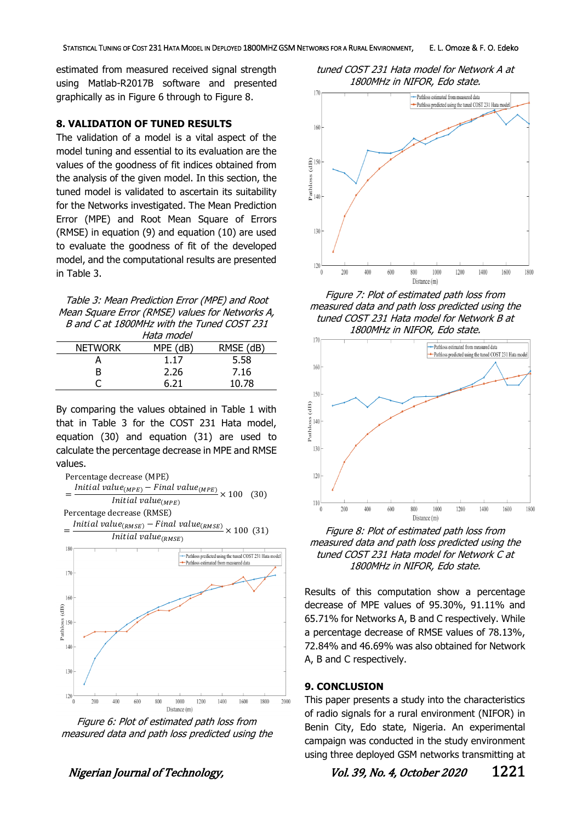estimated from measured received signal strength using Matlab-R2017B software and presented graphically as in Figure 6 through to Figure 8.

#### **8. VALIDATION OF TUNED RESULTS**

The validation of a model is a vital aspect of the model tuning and essential to its evaluation are the values of the goodness of fit indices obtained from the analysis of the given model. In this section, the tuned model is validated to ascertain its suitability for the Networks investigated. The Mean Prediction Error (MPE) and Root Mean Square of Errors (RMSE) in equation (9) and equation (10) are used to evaluate the goodness of fit of the developed model, and the computational results are presented in Table 3.

| Table 3: Mean Prediction Error (MPE) and Root   |
|-------------------------------------------------|
| Mean Square Error (RMSE) values for Networks A, |
| B and C at 1800MHz with the Tuned COST 231      |
|                                                 |

| MPE (dB) | RMSE (dB)  |
|----------|------------|
| 1.17     | 5.58       |
| 2.26     | 7.16       |
| 6.21     | 10.78      |
|          | Hata model |

By comparing the values obtained in Table 1 with that in Table 3 for the COST 231 Hata model, equation (30) and equation (31) are used to calculate the percentage decrease in MPE and RMSE values.



Figure 6: Plot of estimated path loss from measured data and path loss predicted using the

tuned COST 231 Hata model for Network A at 1800MHz in NIFOR, Edo state.



Figure 7: Plot of estimated path loss from measured data and path loss predicted using the tuned COST 231 Hata model for Network B at 1800MHz in NIFOR, Edo state.



Figure 8: Plot of estimated path loss from measured data and path loss predicted using the tuned COST 231 Hata model for Network C at 1800MHz in NIFOR, Edo state.

Results of this computation show a percentage decrease of MPE values of 95.30%, 91.11% and 65.71% for Networks A, B and C respectively. While a percentage decrease of RMSE values of 78.13%, 72.84% and 46.69% was also obtained for Network A, B and C respectively.

#### **9. CONCLUSION**

This paper presents a study into the characteristics of radio signals for a rural environment (NIFOR) in Benin City, Edo state, Nigeria. An experimental campaign was conducted in the study environment using three deployed GSM networks transmitting at